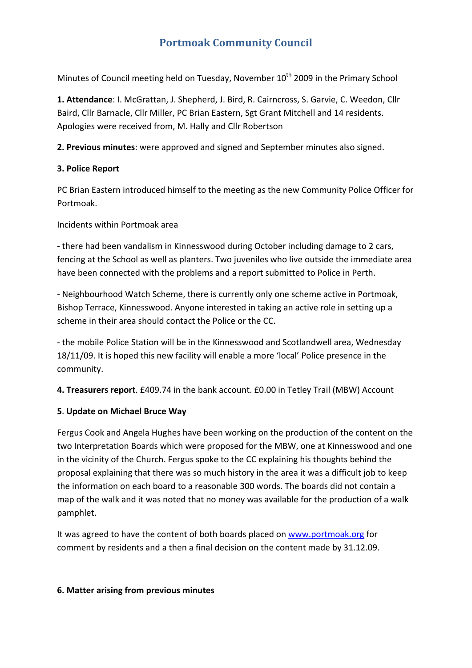# **Portmoak Community Council**

Minutes of Council meeting held on Tuesday, November  $10<sup>th</sup>$  2009 in the Primary School

**1. Attendance**: I. McGrattan, J. Shepherd, J. Bird, R. Cairncross, S. Garvie, C. Weedon, Cllr Baird, Cllr Barnacle, Cllr Miller, PC Brian Eastern, Sgt Grant Mitchell and 14 residents. Apologies were received from, M. Hally and Cllr Robertson

**2. Previous minutes**: were approved and signed and September minutes also signed.

### **3. Police Report**

PC Brian Eastern introduced himself to the meeting as the new Community Police Officer for Portmoak.

Incidents within Portmoak area

‐ there had been vandalism in Kinnesswood during October including damage to 2 cars, fencing at the School as well as planters. Two juveniles who live outside the immediate area have been connected with the problems and a report submitted to Police in Perth.

‐ Neighbourhood Watch Scheme, there is currently only one scheme active in Portmoak, Bishop Terrace, Kinnesswood. Anyone interested in taking an active role in setting up a scheme in their area should contact the Police or the CC.

‐ the mobile Police Station will be in the Kinnesswood and Scotlandwell area, Wednesday 18/11/09. It is hoped this new facility will enable a more 'local' Police presence in the community.

**4. Treasurers report**. £409.74 in the bank account. £0.00 in Tetley Trail (MBW) Account

## **5**. **Update on Michael Bruce Way**

Fergus Cook and Angela Hughes have been working on the production of the content on the two Interpretation Boards which were proposed for the MBW, one at Kinnesswood and one in the vicinity of the Church. Fergus spoke to the CC explaining his thoughts behind the proposal explaining that there was so much history in the area it was a difficult job to keep the information on each board to a reasonable 300 words. The boards did not contain a map of the walk and it was noted that no money was available for the production of a walk pamphlet.

It was agreed to have the content of both boards placed on www.portmoak.org for comment by residents and a then a final decision on the content made by 31.12.09.

### **6. Matter arising from previous minutes**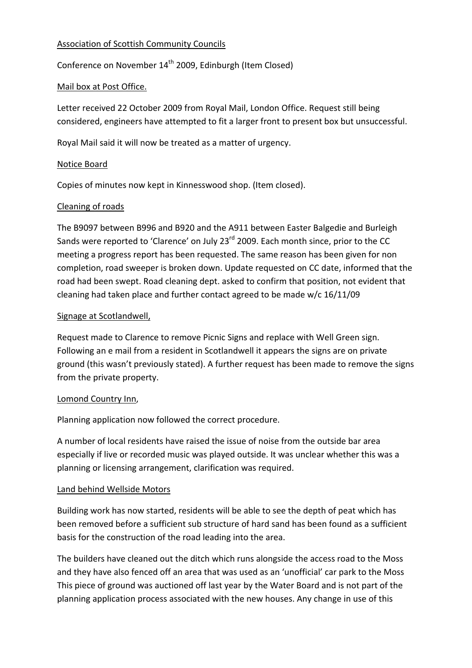## Association of Scottish Community Councils

Conference on November 14<sup>th</sup> 2009, Edinburgh (Item Closed)

## Mail box at Post Office.

Letter received 22 October 2009 from Royal Mail, London Office. Request still being considered, engineers have attempted to fit a larger front to present box but unsuccessful.

Royal Mail said it will now be treated as a matter of urgency.

### Notice Board

Copies of minutes now kept in Kinnesswood shop. (Item closed).

## Cleaning of roads

The B9097 between B996 and B920 and the A911 between Easter Balgedie and Burleigh Sands were reported to 'Clarence' on July 23<sup>rd</sup> 2009. Each month since, prior to the CC meeting a progress report has been requested. The same reason has been given for non completion, road sweeper is broken down. Update requested on CC date, informed that the road had been swept. Road cleaning dept. asked to confirm that position, not evident that cleaning had taken place and further contact agreed to be made w/c 16/11/09

## Signage at Scotlandwell,

Request made to Clarence to remove Picnic Signs and replace with Well Green sign. Following an e mail from a resident in Scotlandwell it appears the signs are on private ground (this wasn't previously stated). A further request has been made to remove the signs from the private property.

### Lomond Country Inn,

Planning application now followed the correct procedure.

A number of local residents have raised the issue of noise from the outside bar area especially if live or recorded music was played outside. It was unclear whether this was a planning or licensing arrangement, clarification was required.

### Land behind Wellside Motors

Building work has now started, residents will be able to see the depth of peat which has been removed before a sufficient sub structure of hard sand has been found as a sufficient basis for the construction of the road leading into the area.

The builders have cleaned out the ditch which runs alongside the access road to the Moss and they have also fenced off an area that was used as an 'unofficial' car park to the Moss This piece of ground was auctioned off last year by the Water Board and is not part of the planning application process associated with the new houses. Any change in use of this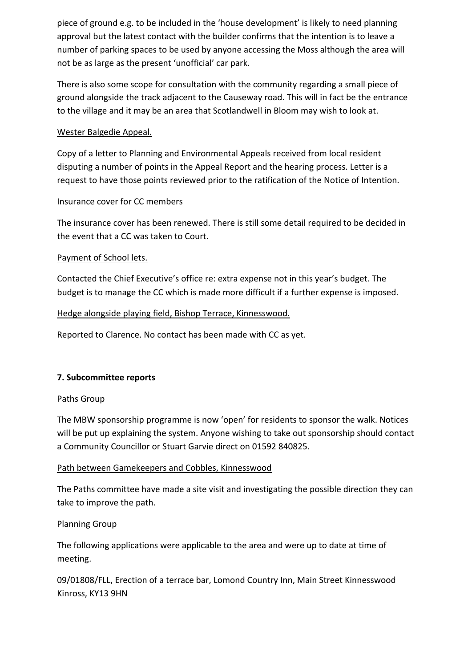piece of ground e.g. to be included in the 'house development' is likely to need planning approval but the latest contact with the builder confirms that the intention is to leave a number of parking spaces to be used by anyone accessing the Moss although the area will not be as large as the present 'unofficial' car park.

There is also some scope for consultation with the community regarding a small piece of ground alongside the track adjacent to the Causeway road. This will in fact be the entrance to the village and it may be an area that Scotlandwell in Bloom may wish to look at.

### Wester Balgedie Appeal.

Copy of a letter to Planning and Environmental Appeals received from local resident disputing a number of points in the Appeal Report and the hearing process. Letter is a request to have those points reviewed prior to the ratification of the Notice of Intention.

### Insurance cover for CC members

The insurance cover has been renewed. There is still some detail required to be decided in the event that a CC was taken to Court.

### Payment of School lets.

Contacted the Chief Executive's office re: extra expense not in this year's budget. The budget is to manage the CC which is made more difficult if a further expense is imposed.

### Hedge alongside playing field, Bishop Terrace, Kinnesswood.

Reported to Clarence. No contact has been made with CC as yet.

### **7. Subcommittee reports**

### Paths Group

The MBW sponsorship programme is now 'open' for residents to sponsor the walk. Notices will be put up explaining the system. Anyone wishing to take out sponsorship should contact a Community Councillor or Stuart Garvie direct on 01592 840825.

#### Path between Gamekeepers and Cobbles, Kinnesswood

The Paths committee have made a site visit and investigating the possible direction they can take to improve the path.

### Planning Group

The following applications were applicable to the area and were up to date at time of meeting.

09/01808/FLL, Erection of a terrace bar, Lomond Country Inn, Main Street Kinnesswood Kinross, KY13 9HN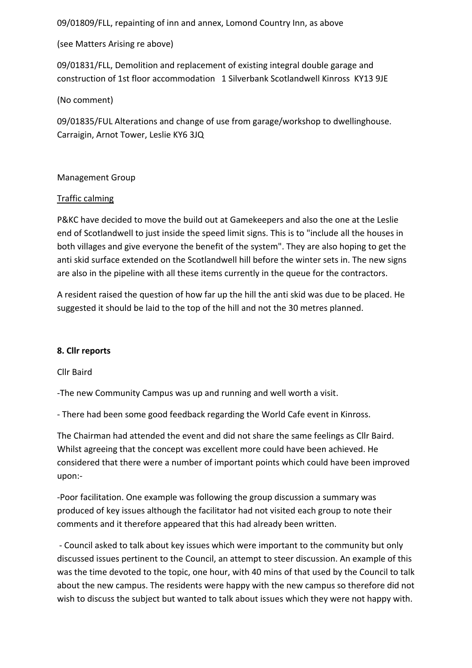09/01809/FLL, repainting of inn and annex, Lomond Country Inn, as above

(see Matters Arising re above)

09/01831/FLL, Demolition and replacement of existing integral double garage and construction of 1st floor accommodation 1 Silverbank Scotlandwell Kinross KY13 9JE

(No comment)

09/01835/FUL Alterations and change of use from garage/workshop to dwellinghouse. Carraigin, Arnot Tower, Leslie KY6 3JQ

### Management Group

## Traffic calming

P&KC have decided to move the build out at Gamekeepers and also the one at the Leslie end of Scotlandwell to just inside the speed limit signs. This is to "include all the houses in both villages and give everyone the benefit of the system". They are also hoping to get the anti skid surface extended on the Scotlandwell hill before the winter sets in. The new signs are also in the pipeline with all these items currently in the queue for the contractors.

A resident raised the question of how far up the hill the anti skid was due to be placed. He suggested it should be laid to the top of the hill and not the 30 metres planned.

### **8. Cllr reports**

### Cllr Baird

‐The new Community Campus was up and running and well worth a visit.

‐ There had been some good feedback regarding the World Cafe event in Kinross.

The Chairman had attended the event and did not share the same feelings as Cllr Baird. Whilst agreeing that the concept was excellent more could have been achieved. He considered that there were a number of important points which could have been improved upon:‐

‐Poor facilitation. One example was following the group discussion a summary was produced of key issues although the facilitator had not visited each group to note their comments and it therefore appeared that this had already been written.

 ‐ Council asked to talk about key issues which were important to the community but only discussed issues pertinent to the Council, an attempt to steer discussion. An example of this was the time devoted to the topic, one hour, with 40 mins of that used by the Council to talk about the new campus. The residents were happy with the new campus so therefore did not wish to discuss the subject but wanted to talk about issues which they were not happy with.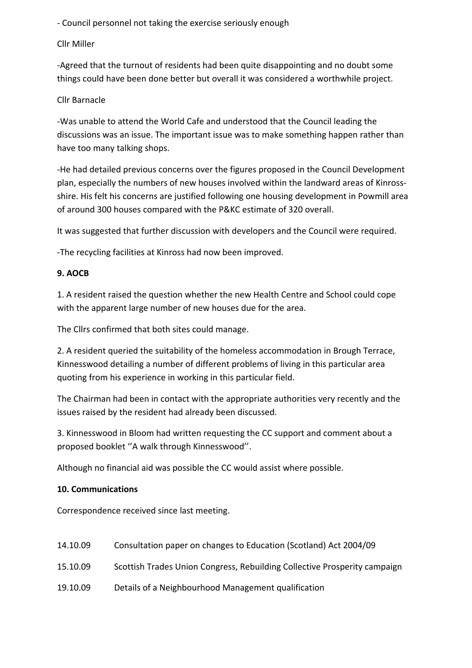‐ Council personnel not taking the exercise seriously enough

## Cllr Miller

‐Agreed that the turnout of residents had been quite disappointing and no doubt some things could have been done better but overall it was considered a worthwhile project.

## Cllr Barnacle

‐Was unable to attend the World Cafe and understood that the Council leading the discussions was an issue. The important issue was to make something happen rather than have too many talking shops.

‐He had detailed previous concerns over the figures proposed in the Council Development plan, especially the numbers of new houses involved within the landward areas of Kinross‐ shire. His felt his concerns are justified following one housing development in Powmill area of around 300 houses compared with the P&KC estimate of 320 overall.

It was suggested that further discussion with developers and the Council were required.

‐The recycling facilities at Kinross had now been improved.

## **9. AOCB**

1. A resident raised the question whether the new Health Centre and School could cope with the apparent large number of new houses due for the area.

The Cllrs confirmed that both sites could manage.

2. A resident queried the suitability of the homeless accommodation in Brough Terrace, Kinnesswood detailing a number of different problems of living in this particular area quoting from his experience in working in this particular field.

The Chairman had been in contact with the appropriate authorities very recently and the issues raised by the resident had already been discussed.

3. Kinnesswood in Bloom had written requesting the CC support and comment about a proposed booklet ''A walk through Kinnesswood''.

Although no financial aid was possible the CC would assist where possible.

### **10. Communications**

Correspondence received since last meeting.

| 14.10.09 | Consultation paper on changes to Education (Scotland) Act 2004/09         |
|----------|---------------------------------------------------------------------------|
| 15.10.09 | Scottish Trades Union Congress, Rebuilding Collective Prosperity campaign |
| 19.10.09 | Details of a Neighbourhood Management qualification                       |